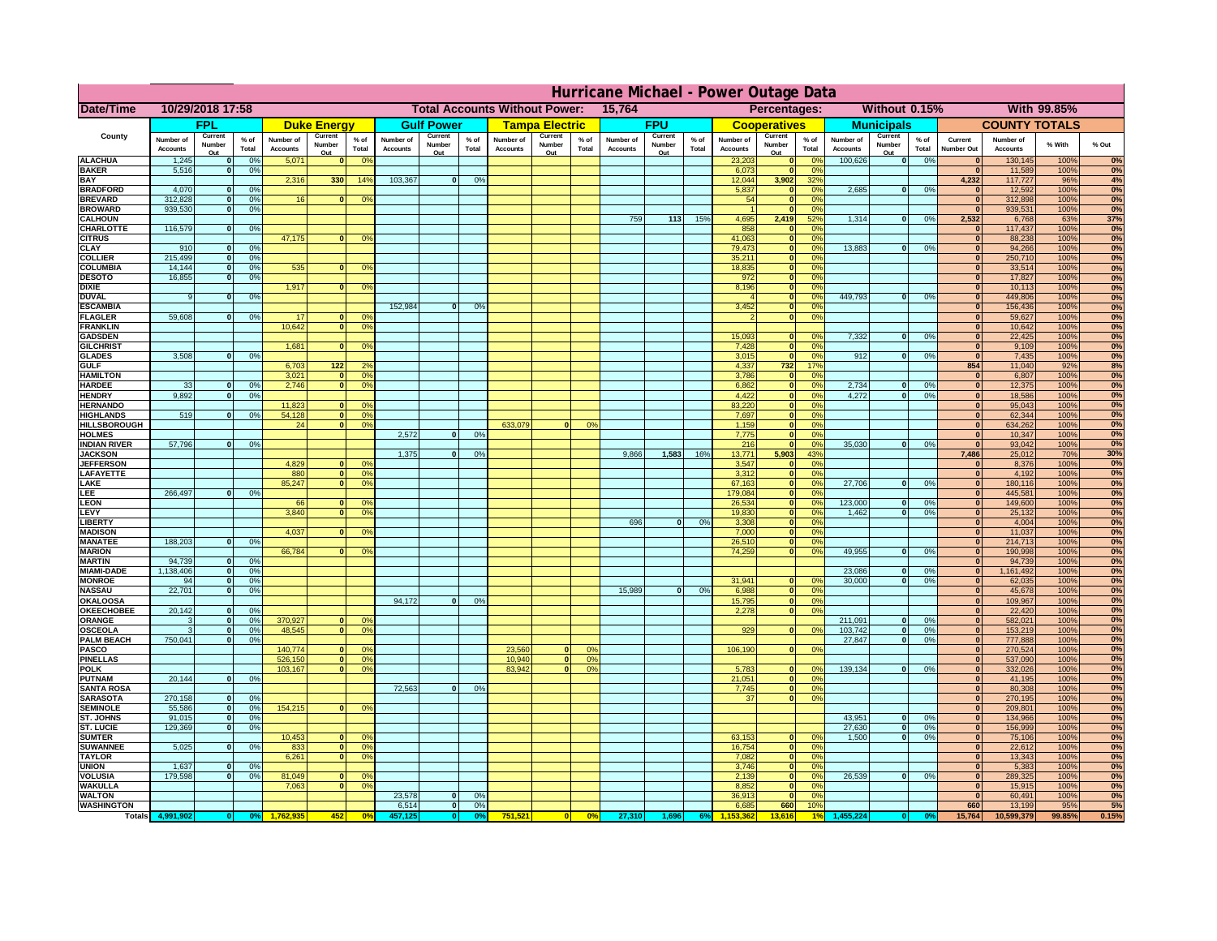|                                      | Hurricane Michael - Power Outage Data |                             |                 |                              |                              |                                                    |                              |                          |                |                              |                          |                 |                                              |                          |                 |                              |                           |                      |                              |                          |                 |                              |                              |              |           |
|--------------------------------------|---------------------------------------|-----------------------------|-----------------|------------------------------|------------------------------|----------------------------------------------------|------------------------------|--------------------------|----------------|------------------------------|--------------------------|-----------------|----------------------------------------------|--------------------------|-----------------|------------------------------|---------------------------|----------------------|------------------------------|--------------------------|-----------------|------------------------------|------------------------------|--------------|-----------|
| Date/Time                            | 10/29/2018 17:58                      |                             |                 |                              |                              | <b>Total Accounts Without Power:</b><br>15,764     |                              |                          |                |                              |                          |                 | Without 0.15%<br>With 99.85%<br>Percentages: |                          |                 |                              |                           |                      |                              |                          |                 |                              |                              |              |           |
|                                      |                                       | FPL                         |                 |                              | <b>Duke Energy</b>           |                                                    |                              | <b>Gulf Power</b>        |                |                              | <b>Tampa Electric</b>    |                 |                                              | <b>FPU</b>               |                 |                              | <b>Cooperatives</b>       |                      |                              | <b>Municipals</b>        |                 |                              | <b>COUNTY TOTALS</b>         |              |           |
| County                               | Number of<br><b>Accounts</b>          | Current<br>Number<br>Out    | $%$ of<br>Total | Number of<br><b>Accounts</b> | Current<br>Number<br>Out     | $%$ of<br>Total                                    | Number of<br><b>Accounts</b> | Current<br>Number<br>Out | % of<br>Total  | Number of<br><b>Accounts</b> | Current<br>Number<br>Out | $%$ of<br>Total | Number of<br><b>Accounts</b>                 | Current<br>Number<br>Out | $%$ of<br>Total | Number of<br><b>Accounts</b> | Current<br>Number<br>Out  | $%$ of<br>Total      | Number of<br><b>Accounts</b> | Current<br>Number<br>Out | $%$ of<br>Total | Current<br><b>Number Out</b> | Number of<br><b>Accounts</b> | % With       | % Out     |
| <b>ALACHUA</b>                       | 1,245                                 | $\mathbf{0}$                | 0%              | 5,071                        | $\bf{0}$                     | 0 <sup>9</sup>                                     |                              |                          |                |                              |                          |                 |                                              |                          |                 | 23,203                       | 0                         | 0 <sup>9</sup>       | 100,626                      | 0                        | 0%              | $\bf{0}$                     | 130,145                      | 100%         | 0%        |
| <b>BAKER</b>                         | 5,516                                 | 0                           | 0%              |                              |                              |                                                    |                              |                          |                |                              |                          |                 |                                              |                          |                 | 6,073                        | 0                         | 0%                   |                              |                          |                 | $\overline{0}$               | 11,589                       | 100%         | 0%        |
| <b>BAY</b><br><b>BRADFORD</b>        | 4,070                                 | $\mathbf{0}$                | 0%              | 2,316                        | 330                          | 14%                                                | 103,367                      | 0                        | 0%             |                              |                          |                 |                                              |                          |                 | 12,044<br>5,837              | 3,902<br> 0               | 32%<br>0%            | 2,685                        | 0                        | 0%              | 4,232<br>$\bf{0}$            | 117,727<br>12,592            | 96%<br>100%  | 4%<br>0%  |
| <b>BREVARD</b>                       | 312,828                               | 0                           | 0%              | 16                           | 0                            | 0 <sup>o</sup>                                     |                              |                          |                |                              |                          |                 |                                              |                          |                 | 54                           | 0                         | 0%                   |                              |                          |                 | 0                            | 312,898                      | 100%         | 0%        |
| <b>BROWARD</b>                       | 939.530                               | 0                           | 0%              |                              |                              |                                                    |                              |                          |                |                              |                          |                 |                                              |                          |                 |                              | 0                         | 0%                   |                              |                          |                 | $\bf{0}$                     | 939,531                      | 100%         | 0%        |
| <b>CALHOUN</b><br>CHARLOTTE          | 116,579                               | 0                           | 0%              |                              |                              |                                                    |                              |                          |                |                              |                          |                 | 759                                          | $113$                    | 15%             | 4,695<br>858                 | 2,419<br> 0               | 52%<br>0%            | 1,314                        | 0                        | 0%              | 2,532<br>$\bf{0}$            | 6,768<br>117,437             | 63%<br>100%  | 37%<br>0% |
| <b>CITRUS</b>                        |                                       |                             |                 | 47,175                       | $\mathbf{0}$                 | 0 <sup>o</sup>                                     |                              |                          |                |                              |                          |                 |                                              |                          |                 | 41,063                       | 0                         | 0 <sup>9</sup>       |                              |                          |                 | $\bf{0}$                     | 88,238                       | 100%         | 0%        |
| <b>CLAY</b>                          | 910                                   | $\mathbf{0}$                | 0%              |                              |                              |                                                    |                              |                          |                |                              |                          |                 |                                              |                          |                 | 79,473                       | 0                         | 0 <sup>9</sup>       | 13,883                       | $\mathbf{0}$             | 0%              | $\bf{0}$                     | 94,266                       | 100%         | 0%        |
| <b>COLLIER</b>                       | 215,499                               | $\mathbf{0}$                | 0 <sup>9</sup>  |                              |                              |                                                    |                              |                          |                |                              |                          |                 |                                              |                          |                 | 35,211                       | 0                         | 0%                   |                              |                          |                 | $\bf{0}$                     | 250,710                      | 100%         | 0%        |
| <b>COLUMBIA</b><br><b>DESOTO</b>     | 14,144<br>16,855                      | $\mathbf 0$<br>$\mathbf{0}$ | 0%<br>0%        | 535                          | $\mathbf{0}$                 | 0 <sup>9</sup>                                     |                              |                          |                |                              |                          |                 |                                              |                          |                 | 18,835<br>972                | 0 <br> 0                  | 0%<br>0%             |                              |                          |                 | $\bf{0}$<br>$\bf{0}$         | 33,514<br>17,827             | 100%<br>100% | 0%<br>0%  |
| <b>DIXIE</b>                         |                                       |                             |                 | 1,917                        | $\Omega$                     | 0 <sup>9</sup>                                     |                              |                          |                |                              |                          |                 |                                              |                          |                 | 8,196                        | 0                         | 0%                   |                              |                          |                 | $\Omega$                     | 10,113                       | 100%         | 0%        |
| <b>DUVAL</b>                         | 9                                     | $\Omega$                    | 0%              |                              |                              |                                                    |                              |                          |                |                              |                          |                 |                                              |                          |                 |                              | 0                         | 0%                   | 449.793                      | $\overline{0}$           | 0%              | $\Omega$                     | 449,806                      | 100%         | 0%        |
| <b>ESCAMBIA</b>                      |                                       |                             |                 |                              |                              |                                                    | 152,984                      | $\mathbf{0}$             | 0 <sup>9</sup> |                              |                          |                 |                                              |                          |                 | 3,452                        | 0                         | 0%                   |                              |                          |                 | $\Omega$                     | 156,436                      | 100%         | 0%        |
| <b>FLAGLER</b><br><b>FRANKLIN</b>    | 59,608                                | $\overline{0}$              | 0%              | 17<br>10,642                 | $\bf{0}$<br> 0               | 0 <sup>o</sup><br>0 <sup>9</sup>                   |                              |                          |                |                              |                          |                 |                                              |                          |                 |                              | 0                         | 0%                   |                              |                          |                 | $\bf{0}$<br>$\overline{0}$   | 59,627<br>10,642             | 100%<br>100% | 0%        |
| <b>GADSDEN</b>                       |                                       |                             |                 |                              |                              |                                                    |                              |                          |                |                              |                          |                 |                                              |                          |                 | 15,093                       | $\mathbf{0}$              | 0%                   | 7,332                        | 0                        | 0%              | $\overline{0}$               | 22,425                       | 100%         | 0%<br>0%  |
| <b>GILCHRIST</b>                     |                                       |                             |                 | 1,681                        | $\Omega$                     | 0 <sup>9</sup>                                     |                              |                          |                |                              |                          |                 |                                              |                          |                 | 7,428                        | 0                         | 0%                   |                              |                          |                 | $\hat{\mathbf{0}}$           | 9,109                        | 100%         | 0%        |
| <b>GLADES</b>                        | 3,508                                 | 0                           | 0%              |                              |                              |                                                    |                              |                          |                |                              |                          |                 |                                              |                          |                 | 3,015                        | 0                         | 0%                   | 912                          | $\overline{0}$           | 0%              | $\overline{0}$               | 7,435                        | 100%         | 0%        |
| <b>GULF</b>                          |                                       |                             |                 | 6,703                        | $122$                        | 2 <sup>o</sup><br>$\overline{0}$                   |                              |                          |                |                              |                          |                 |                                              |                          |                 | 4,337                        | $732$                     | 17%                  |                              |                          |                 | 854                          | 11,040                       | 92%          | 8%        |
| <b>HAMILTON</b><br><b>HARDEE</b>     | 33                                    | $\overline{0}$              | 0%              | 3,021<br>2.746               |                              | 0 <sup>9</sup><br>$\overline{0}$<br>0 <sup>9</sup> |                              |                          |                |                              |                          |                 |                                              |                          |                 | 3,786<br>6.862               | 0 <br> 0                  | 0%<br>0%             | 2.734                        | $\mathbf{0}$             | 0%              | 0 <br> 0                     | 6,807<br>12,375              | 100%<br>100% | 0%<br>0%  |
| <b>HENDRY</b>                        | 9,892                                 | $\Omega$                    | 0%              |                              |                              |                                                    |                              |                          |                |                              |                          |                 |                                              |                          |                 | 4,422                        | 0                         | 0%                   | 4,272                        | $\Omega$                 | 0%              | 0                            | 18,586                       | 100%         | 0%        |
| <b>HERNANDO</b>                      |                                       |                             |                 | 11,823                       |                              | 0 <sup>9</sup><br>$\mathbf{0}$                     |                              |                          |                |                              |                          |                 |                                              |                          |                 | 83,220                       | 0                         | 0%                   |                              |                          |                 | 0                            | 95,043                       | 100%         | 0%        |
| <b>HIGHLANDS</b>                     | 519                                   | $\mathbf{0}$                | 0 <sup>9</sup>  | 54,128                       |                              | 0 <br>0 <sup>9</sup>                               |                              |                          |                |                              |                          |                 |                                              |                          |                 | 7,697                        | 0                         | 0%                   |                              |                          |                 | 0                            | 62,344                       | 100%         | 0%        |
| <b>HILLSBOROUGH</b><br><b>HOLMES</b> |                                       |                             |                 | 24                           |                              | 0 <br>0 <sup>9</sup>                               | 2.572                        | $\mathbf{0}$             | 0%             | 633,079                      |                          | 0%              |                                              |                          |                 | 1,159<br>7,775               | 0 <br> 0                  | 0%<br>0%             |                              |                          |                 | 0 <br> 0                     | 634,262<br>10,347            | 100%<br>100% | 0%<br>0%  |
| <b>INDIAN RIVER</b>                  | 57,796                                | $\mathbf{0}$                | 0%              |                              |                              |                                                    |                              |                          |                |                              |                          |                 |                                              |                          |                 | 216                          | 0                         | 0%                   | 35,030                       | $\mathbf{0}$             | 0%              | 0                            | 93,042                       | 100%         | 0%        |
| <b>JACKSON</b>                       |                                       |                             |                 |                              |                              |                                                    | 1.375                        | $\mathbf{0}$             | 0 <sup>9</sup> |                              |                          |                 | 9,866                                        | 1,583                    | 16%             | 13.771                       | 5.903                     | 43%                  |                              |                          |                 | 7.486                        | 25,012                       | 70%          | 30%       |
| <b>JEFFERSON</b>                     |                                       |                             |                 | 4.829                        |                              | n l<br>0 <sup>9</sup>                              |                              |                          |                |                              |                          |                 |                                              |                          |                 | 3.547                        | 0                         | 0%                   |                              |                          |                 | $\mathbf{0}$                 | 8.376                        | 100%         | 0%        |
| LAFAYETTE                            |                                       |                             |                 | 880                          |                              | 0 <br>0 <sup>9</sup><br>$\mathbf{0}$               |                              |                          |                |                              |                          |                 |                                              |                          |                 | 3.312                        | 0                         | 0%                   |                              | $\Omega$                 |                 | 0                            | 4,192                        | 100%         | 0%<br>0%  |
| LAKE<br>.EE                          | 266,497                               | 0                           | 0%              | 85,247                       |                              | 0 <sup>9</sup>                                     |                              |                          |                |                              |                          |                 |                                              |                          |                 | 67,163<br>179,084            | 0 <br> 0                  | 0%<br>0%             | 27,706                       |                          | 0%              | 0 <br> 0                     | 180,116<br>445,581           | 100%<br>100% | 0%        |
| LEON                                 |                                       |                             |                 | 66                           |                              | $\mathbf{0}$<br>0 <sup>o</sup>                     |                              |                          |                |                              |                          |                 |                                              |                          |                 | 26,534                       | 0                         | 0%                   | 123,000                      | $\mathbf{0}$             | 0%              | 0                            | 149,600                      | 100%         | 0%        |
| LEVY                                 |                                       |                             |                 | 3,840                        | $\Omega$                     | 0 <sup>9</sup>                                     |                              |                          |                |                              |                          |                 |                                              |                          |                 | 19,830                       | 0                         | 0%                   | 1,462                        | 0                        | 0%              | 0                            | 25,132                       | 100%         | 0%        |
| LIBERTY                              |                                       |                             |                 |                              |                              |                                                    |                              |                          |                |                              |                          |                 | 696                                          | $\Omega$                 | 0%              | 3,308                        | 0                         | 0%                   |                              |                          |                 | 0                            | 4,004                        | 100%         | 0%        |
| <b>MADISON</b><br><b>MANATEE</b>     | 188,203                               | 0                           | 0%              | 4,037                        | $\Omega$                     | 0 <sup>9</sup>                                     |                              |                          |                |                              |                          |                 |                                              |                          |                 | 7,000<br>26,510              | 0 <br> 0                  | 0%<br>0%             |                              |                          |                 | 0 <br> 0                     | 11,037<br>214,713            | 100%<br>100% | 0%<br>0%  |
| <b>MARION</b>                        |                                       |                             |                 | 66,784                       | $\Omega$                     | 0 <sup>9</sup>                                     |                              |                          |                |                              |                          |                 |                                              |                          |                 | 74,259                       | 0                         | 0%                   | 49,955                       | $\Omega$                 | 0%              | 0                            | 190,998                      | 100%         | 0%        |
| <b>MARTIN</b>                        | 94,739                                | 0                           | 0%              |                              |                              |                                                    |                              |                          |                |                              |                          |                 |                                              |                          |                 |                              |                           |                      |                              |                          |                 | 0                            | 94,739                       | 100%         | 0%        |
| <b>MIAMI-DADE</b>                    | 1,138,406                             | 0                           | 0%              |                              |                              |                                                    |                              |                          |                |                              |                          |                 |                                              |                          |                 |                              |                           |                      | 23,086                       | $\mathbf{0}$             | 0%              | 0                            | 1,161,492                    | 100%         | 0%        |
| <b>MONROE</b><br><b>NASSAU</b>       | 94<br>22,701                          | 0 <br> 0                    | 0%<br>0%        |                              |                              |                                                    |                              |                          |                |                              |                          |                 | 15,989                                       | 0                        | 0%              | 31,941<br>6,988              | $\overline{0}$<br> 0      | 0 <sup>9</sup><br>0% | 30,000                       | 0                        | 0%              | 0 <br> 0                     | 62,035<br>45,678             | 100%<br>100% | 0%<br>0%  |
| <b>OKALOOSA</b>                      |                                       |                             |                 |                              |                              |                                                    | 94,172                       | $\mathbf{0}$             | 0%             |                              |                          |                 |                                              |                          |                 | 15,795                       | 0                         | 0%                   |                              |                          |                 | 0                            | 109,967                      | 100%         | 0%        |
| <b>OKEECHOBEE</b>                    | 20,142                                | 0                           | 0%              |                              |                              |                                                    |                              |                          |                |                              |                          |                 |                                              |                          |                 | 2,278                        | 0                         | 0%                   |                              |                          |                 | 0                            | 22,420                       | 100%         | 0%        |
| ORANGE                               | 3                                     | 0                           | 0%              | 370,927                      |                              | 0 <br>0 <sup>o</sup>                               |                              |                          |                |                              |                          |                 |                                              |                          |                 |                              |                           |                      | 211,091                      | $\mathbf{0}$             | 0%              | 0                            | 582,021                      | 100%         | 0%        |
| <b>OSCEOLA</b><br><b>PALM BEACH</b>  | 3<br>750,041                          | 0                           | 0%<br>0%<br> 0  | 48,545                       |                              | 0 <sup>9</sup><br> 0                               |                              |                          |                |                              |                          |                 |                                              |                          |                 | 929                          | 0                         | 0%                   | 103,742<br>27,847            | 0 <br>$\overline{0}$     | 0%<br>0%        | 0 <br> 0                     | 153,219<br>777,888           | 100%<br>100% | 0%<br>0%  |
| <b>PASCO</b>                         |                                       |                             |                 | 140,774                      |                              | 0 <sup>9</sup><br>$\Omega$                         |                              |                          |                | 23,560                       | $\Omega$                 | $^{\circ}$      |                                              |                          |                 | 106,190                      | 0                         | 0%                   |                              |                          |                 | 0                            | 270,524                      | 100%         | 0%        |
| <b>PINELLAS</b>                      |                                       |                             |                 | 526,150                      |                              | 0 <sup>9</sup><br> 0                               |                              |                          |                | 10,940                       | 0                        | 0%              |                                              |                          |                 |                              |                           |                      |                              |                          |                 | $\Omega$                     | 537,090                      | 100%         | 0%        |
| <b>POLK</b>                          |                                       |                             |                 | 103,167                      |                              | 0 <sup>9</sup><br> 0                               |                              |                          |                | 83,942                       | $\mathbf{a}$             | 0%              |                                              |                          |                 | 5,783                        | 0                         | $\Omega$             | 139,134                      | 0                        | 0%              | 0                            | 332,026                      | 100%         | 0%        |
| <b>PUTNAM</b><br><b>SANTA ROSA</b>   | 20,144                                | 0                           | 0%              |                              |                              |                                                    | 72,563                       | 0                        | 0%             |                              |                          |                 |                                              |                          |                 | 21,051<br>7,745              | $\ddot{\textbf{0}}$<br> 0 | 0%<br>0%             |                              |                          |                 | $\bf{0}$<br>$\mathbf{0}$     | 41,195<br>80,308             | 100%<br>100% | 0%<br>0%  |
| <b>SARASOTA</b>                      | 270,158                               | 0                           | 0%              |                              |                              |                                                    |                              |                          |                |                              |                          |                 |                                              |                          |                 | 37                           | 0                         | 0%                   |                              |                          |                 | $\mathbf{0}$                 | 270,195                      | 100%         | 0%        |
| <b>SEMINOLE</b>                      | 55,586                                | 0                           | 0%              | 154,215                      |                              | $\mathbf{0}$<br>0 <sup>9</sup>                     |                              |                          |                |                              |                          |                 |                                              |                          |                 |                              |                           |                      |                              |                          |                 | $\mathbf{0}$                 | 209,801                      | 100%         | 0%        |
| ST. JOHNS                            | 91,015                                | 0                           | 0%              |                              |                              |                                                    |                              |                          |                |                              |                          |                 |                                              |                          |                 |                              |                           |                      | 43,951                       | -ol                      | 0%              | 0                            | 134,966                      | 100%         | 0%        |
| <b>ST. LUCIE</b><br><b>SUMTER</b>    | 129.369                               | $\mathbf{0}$                | 0%              | 10,453                       |                              | 0 <br>0 <sup>9</sup>                               |                              |                          |                |                              |                          |                 |                                              |                          |                 | 63,153                       | 0                         | 0%                   | 27.630<br>1.500              | - O I<br>0               | 0%<br>0%        | 0 <br> 0                     | 156,999<br>75,106            | 100%<br>100% | 0%<br>0%  |
| <b>SUWANNEE</b>                      | 5,025                                 | 0                           | 0%              | 833                          | 0                            | 0 <sup>o</sup>                                     |                              |                          |                |                              |                          |                 |                                              |                          |                 | 16,754                       | 0                         | 0%                   |                              |                          |                 | $\mathbf{0}$                 | 22,612                       | 100%         | 0%        |
| <b>TAYLOR</b>                        |                                       |                             |                 | 6,261                        |                              | 0 <br>0 <sup>9</sup>                               |                              |                          |                |                              |                          |                 |                                              |                          |                 | 7,082                        | 0                         | 0%                   |                              |                          |                 | $\bf{0}$                     | 13,343                       | 100%         | 0%        |
| <b>UNION</b>                         | 1,637                                 | $\mathbf{0}$                | 0%              |                              |                              |                                                    |                              |                          |                |                              |                          |                 |                                              |                          |                 | 3,746                        | 0                         | 0%                   |                              |                          |                 | $\bf{0}$                     | 5,383                        | 100%         | 0%        |
| <b>VOLUSIA</b>                       | 179,598                               | 0                           | 0%              | 81,049                       | $\mathbf{0}$<br>$\mathbf{0}$ | $\mathbf{0}$                                       |                              |                          |                |                              |                          |                 |                                              |                          |                 | 2,139                        | 0                         | 0%                   | 26,539                       | 0                        | 0%              | $\bf{0}$<br>$\mathbf{0}$     | 289,325                      | 100%         | 0%        |
| <b>WAKULLA</b><br><b>WALTON</b>      |                                       |                             |                 | 7,063                        |                              | 0 <sup>9</sup>                                     | 23,578                       | $\mathbf{0}$             | 0%             |                              |                          |                 |                                              |                          |                 | 8,852<br>36,913              | 0 <br> 0                  | 0%<br>0%             |                              |                          |                 | $\mathbf{0}$                 | 15,915<br>60,491             | 100%<br>100% | 0%<br>0%  |
| <b>WASHINGTON</b>                    |                                       |                             |                 |                              |                              |                                                    | 6,514                        | 0                        | 0%             |                              |                          |                 |                                              |                          |                 | 6,685                        | 660                       | 10%                  |                              |                          |                 | 660                          | 13,199                       | 95%          | 5%        |
| <b>Totals</b>                        |                                       |                             |                 |                              | 452                          | 0 <sup>6</sup>                                     |                              | $\bullet$                |                | 751,521                      | 0                        | 0%              | 27,310                                       | 1,696                    | 6%              |                              | 13,616                    |                      |                              |                          |                 | 15,764                       | 10,599,379                   | 99.85%       | 0.15%     |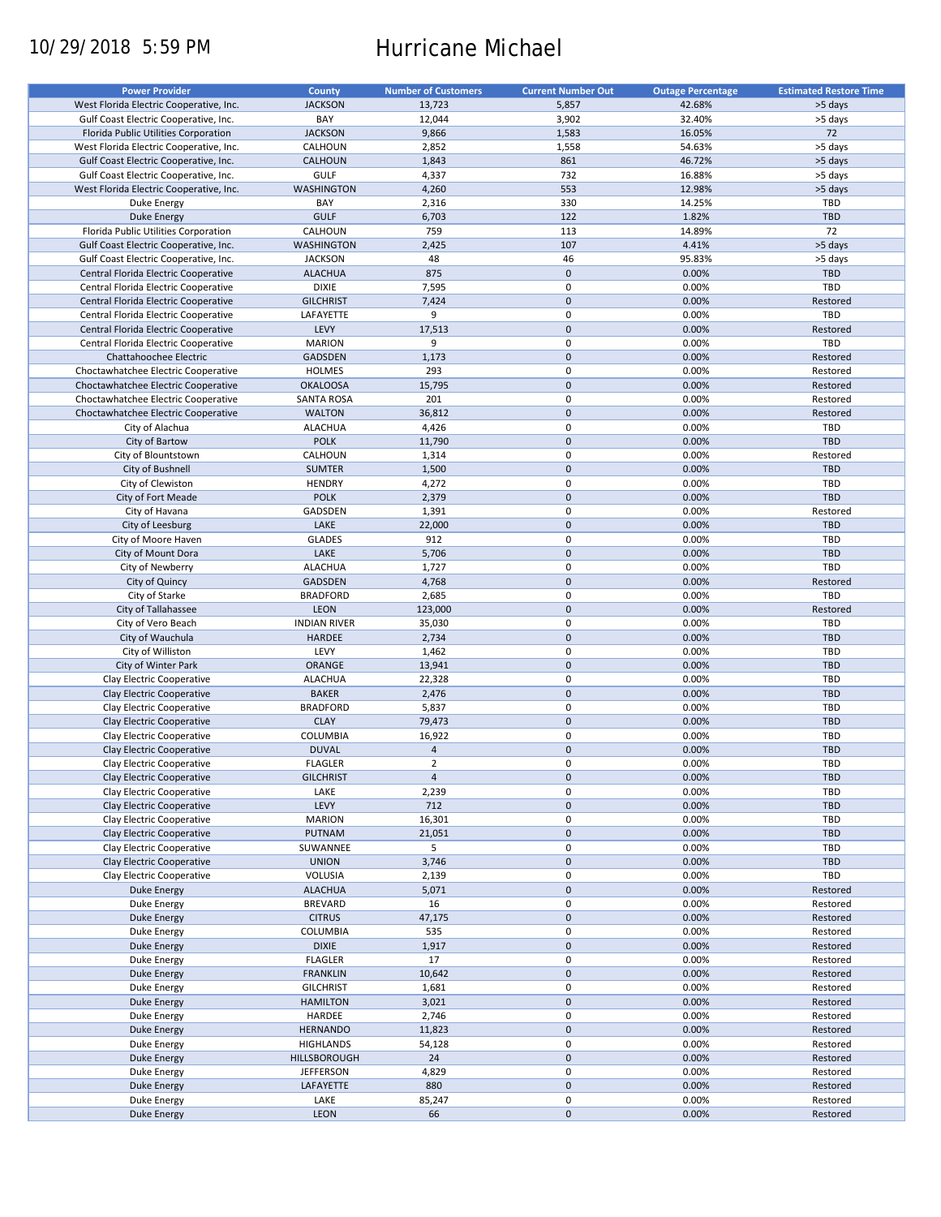# 10/29/2018 5:59 PM Hurricane Michael

| <b>Power Provider</b>                   | County              | <b>Number of Customers</b> | <b>Current Number Out</b> | <b>Outage Percentage</b> | <b>Estimated Restore Time</b> |
|-----------------------------------------|---------------------|----------------------------|---------------------------|--------------------------|-------------------------------|
|                                         |                     |                            |                           |                          |                               |
| West Florida Electric Cooperative, Inc. | <b>JACKSON</b>      | 13,723                     | 5,857                     | 42.68%                   | >5 days                       |
| Gulf Coast Electric Cooperative, Inc.   | BAY                 | 12,044                     | 3,902                     | 32.40%                   | >5 days                       |
| Florida Public Utilities Corporation    | <b>JACKSON</b>      | 9,866                      | 1,583                     | 16.05%                   | 72                            |
| West Florida Electric Cooperative, Inc. | CALHOUN             | 2,852                      | 1,558                     | 54.63%                   | >5 days                       |
| Gulf Coast Electric Cooperative, Inc.   | <b>CALHOUN</b>      | 1,843                      | 861                       | 46.72%                   | >5 days                       |
| Gulf Coast Electric Cooperative, Inc.   | <b>GULF</b>         | 4,337                      | 732                       | 16.88%                   | >5 days                       |
| West Florida Electric Cooperative, Inc. | <b>WASHINGTON</b>   | 4,260                      | 553                       | 12.98%                   | >5 days                       |
| Duke Energy                             | BAY                 | 2,316                      | 330                       | 14.25%                   | TBD                           |
| <b>Duke Energy</b>                      | <b>GULF</b>         | 6,703                      | 122                       | 1.82%                    | <b>TBD</b>                    |
| Florida Public Utilities Corporation    | CALHOUN             | 759                        | 113                       | 14.89%                   | 72                            |
|                                         |                     |                            |                           |                          |                               |
| Gulf Coast Electric Cooperative, Inc.   | <b>WASHINGTON</b>   | 2,425                      | 107                       | 4.41%                    | >5 days                       |
| Gulf Coast Electric Cooperative, Inc.   | <b>JACKSON</b>      | 48                         | 46                        | 95.83%                   | >5 days                       |
| Central Florida Electric Cooperative    | <b>ALACHUA</b>      | 875                        | $\pmb{0}$                 | 0.00%                    | <b>TBD</b>                    |
| Central Florida Electric Cooperative    | <b>DIXIE</b>        | 7,595                      | $\mathbf 0$               | 0.00%                    | TBD                           |
| Central Florida Electric Cooperative    | <b>GILCHRIST</b>    | 7,424                      | $\mathbf 0$               | 0.00%                    | Restored                      |
| Central Florida Electric Cooperative    | LAFAYETTE           | 9                          | $\mathbf 0$               | 0.00%                    | TBD                           |
| Central Florida Electric Cooperative    | LEVY                | 17,513                     | $\mathbf 0$               | 0.00%                    | Restored                      |
| Central Florida Electric Cooperative    | <b>MARION</b>       | 9                          | 0                         | 0.00%                    | <b>TBD</b>                    |
| Chattahoochee Electric                  | <b>GADSDEN</b>      | 1,173                      | $\mathbf 0$               | 0.00%                    | Restored                      |
|                                         |                     |                            | $\mathbf 0$               |                          |                               |
| Choctawhatchee Electric Cooperative     | <b>HOLMES</b>       | 293                        |                           | 0.00%                    | Restored                      |
| Choctawhatchee Electric Cooperative     | <b>OKALOOSA</b>     | 15,795                     | $\mathbf 0$               | 0.00%                    | Restored                      |
| Choctawhatchee Electric Cooperative     | <b>SANTA ROSA</b>   | 201                        | 0                         | 0.00%                    | Restored                      |
| Choctawhatchee Electric Cooperative     | <b>WALTON</b>       | 36,812                     | $\mathbf 0$               | 0.00%                    | Restored                      |
| City of Alachua                         | <b>ALACHUA</b>      | 4,426                      | 0                         | 0.00%                    | TBD                           |
| City of Bartow                          | <b>POLK</b>         | 11,790                     | $\mathbf 0$               | 0.00%                    | <b>TBD</b>                    |
| City of Blountstown                     | CALHOUN             | 1,314                      | 0                         | 0.00%                    | Restored                      |
| City of Bushnell                        | <b>SUMTER</b>       | 1,500                      | $\pmb{0}$                 | 0.00%                    | <b>TBD</b>                    |
| City of Clewiston                       |                     |                            | 0                         | 0.00%                    | TBD                           |
|                                         | <b>HENDRY</b>       | 4,272                      |                           |                          |                               |
| City of Fort Meade                      | <b>POLK</b>         | 2,379                      | $\mathbf 0$               | 0.00%                    | <b>TBD</b>                    |
| City of Havana                          | GADSDEN             | 1,391                      | 0                         | 0.00%                    | Restored                      |
| City of Leesburg                        | LAKE                | 22,000                     | $\mathbf 0$               | 0.00%                    | <b>TBD</b>                    |
| City of Moore Haven                     | <b>GLADES</b>       | 912                        | 0                         | 0.00%                    | TBD                           |
| City of Mount Dora                      | LAKE                | 5,706                      | $\pmb{0}$                 | 0.00%                    | <b>TBD</b>                    |
| City of Newberry                        | <b>ALACHUA</b>      | 1,727                      | $\mathbf 0$               | 0.00%                    | TBD                           |
| City of Quincy                          | GADSDEN             | 4,768                      | $\pmb{0}$                 | 0.00%                    | Restored                      |
| City of Starke                          | <b>BRADFORD</b>     | 2,685                      | 0                         | 0.00%                    | TBD                           |
|                                         |                     |                            | $\mathbf 0$               |                          |                               |
| City of Tallahassee                     | LEON                | 123,000                    |                           | 0.00%                    | Restored                      |
| City of Vero Beach                      | <b>INDIAN RIVER</b> | 35,030                     | $\pmb{0}$                 | 0.00%                    | TBD                           |
| City of Wauchula                        | <b>HARDEE</b>       | 2,734                      | $\mathbf 0$               | 0.00%                    | <b>TBD</b>                    |
| City of Williston                       | LEVY                | 1,462                      | $\mathbf 0$               | 0.00%                    | TBD                           |
| City of Winter Park                     | ORANGE              | 13,941                     | $\pmb{0}$                 | 0.00%                    | <b>TBD</b>                    |
| Clay Electric Cooperative               | <b>ALACHUA</b>      | 22,328                     | 0                         | 0.00%                    | <b>TBD</b>                    |
| Clay Electric Cooperative               | <b>BAKER</b>        | 2,476                      | $\mathbf 0$               | 0.00%                    | <b>TBD</b>                    |
| Clay Electric Cooperative               | <b>BRADFORD</b>     | 5,837                      | $\mathbf 0$               | 0.00%                    | <b>TBD</b>                    |
| Clay Electric Cooperative               | <b>CLAY</b>         | 79,473                     | $\mathbf 0$               | 0.00%                    | <b>TBD</b>                    |
|                                         |                     |                            |                           |                          |                               |
| Clay Electric Cooperative               | <b>COLUMBIA</b>     | 16,922                     | 0                         | 0.00%                    | <b>TBD</b>                    |
| Clay Electric Cooperative               | <b>DUVAL</b>        | $\overline{a}$             | $\mathbf 0$               | 0.00%                    | <b>TBD</b>                    |
| Clay Electric Cooperative               | <b>FLAGLER</b>      | $\overline{2}$             | $\mathbf 0$               | 0.00%                    | TBD                           |
| Clay Electric Cooperative               | <b>GILCHRIST</b>    | $\overline{4}$             | $\pmb{0}$                 | 0.00%                    | <b>TBD</b>                    |
| Clay Electric Cooperative               | LAKE                | 2,239                      | 0                         | 0.00%                    | TBD                           |
| Clay Electric Cooperative               | LEVY                | 712                        | $\pmb{0}$                 | 0.00%                    | TBD                           |
| Clay Electric Cooperative               | <b>MARION</b>       | 16,301                     | 0                         | 0.00%                    | TBD                           |
| Clay Electric Cooperative               | PUTNAM              | 21,051                     | $\mathsf{O}\xspace$       | 0.00%                    | <b>TBD</b>                    |
|                                         |                     |                            |                           |                          |                               |
| Clay Electric Cooperative               | SUWANNEE            | 5                          | 0                         | 0.00%                    | TBD                           |
| Clay Electric Cooperative               | <b>UNION</b>        | 3,746                      | $\pmb{0}$                 | 0.00%                    | TBD                           |
| Clay Electric Cooperative               | VOLUSIA             | 2,139                      | 0                         | 0.00%                    | TBD                           |
| Duke Energy                             | <b>ALACHUA</b>      | 5,071                      | $\pmb{0}$                 | 0.00%                    | Restored                      |
| Duke Energy                             | <b>BREVARD</b>      | 16                         | 0                         | 0.00%                    | Restored                      |
| Duke Energy                             | <b>CITRUS</b>       | 47,175                     | $\pmb{0}$                 | 0.00%                    | Restored                      |
| Duke Energy                             | <b>COLUMBIA</b>     | 535                        | 0                         | 0.00%                    | Restored                      |
| Duke Energy                             | <b>DIXIE</b>        | 1,917                      | $\pmb{0}$                 | 0.00%                    | Restored                      |
| Duke Energy                             | <b>FLAGLER</b>      | 17                         | 0                         | 0.00%                    | Restored                      |
|                                         |                     |                            |                           |                          |                               |
| Duke Energy                             | <b>FRANKLIN</b>     | 10,642                     | $\pmb{0}$                 | 0.00%                    | Restored                      |
| Duke Energy                             | <b>GILCHRIST</b>    | 1,681                      | $\pmb{0}$                 | 0.00%                    | Restored                      |
| <b>Duke Energy</b>                      | <b>HAMILTON</b>     | 3,021                      | $\pmb{0}$                 | 0.00%                    | Restored                      |
| Duke Energy                             | HARDEE              | 2,746                      | 0                         | 0.00%                    | Restored                      |
| <b>Duke Energy</b>                      | <b>HERNANDO</b>     | 11,823                     | $\pmb{0}$                 | 0.00%                    | Restored                      |
| Duke Energy                             | <b>HIGHLANDS</b>    | 54,128                     | $\pmb{0}$                 | 0.00%                    | Restored                      |
| Duke Energy                             | HILLSBOROUGH        | 24                         | $\pmb{0}$                 | 0.00%                    | Restored                      |
|                                         | <b>JEFFERSON</b>    | 4,829                      | 0                         | 0.00%                    | Restored                      |
| Duke Energy                             |                     |                            |                           |                          |                               |
| Duke Energy                             | LAFAYETTE           | 880                        | $\pmb{0}$                 | 0.00%                    | Restored                      |
| Duke Energy                             | LAKE                | 85,247                     | 0                         | 0.00%                    | Restored                      |
| Duke Energy                             | LEON                | 66                         | $\pmb{0}$                 | 0.00%                    | Restored                      |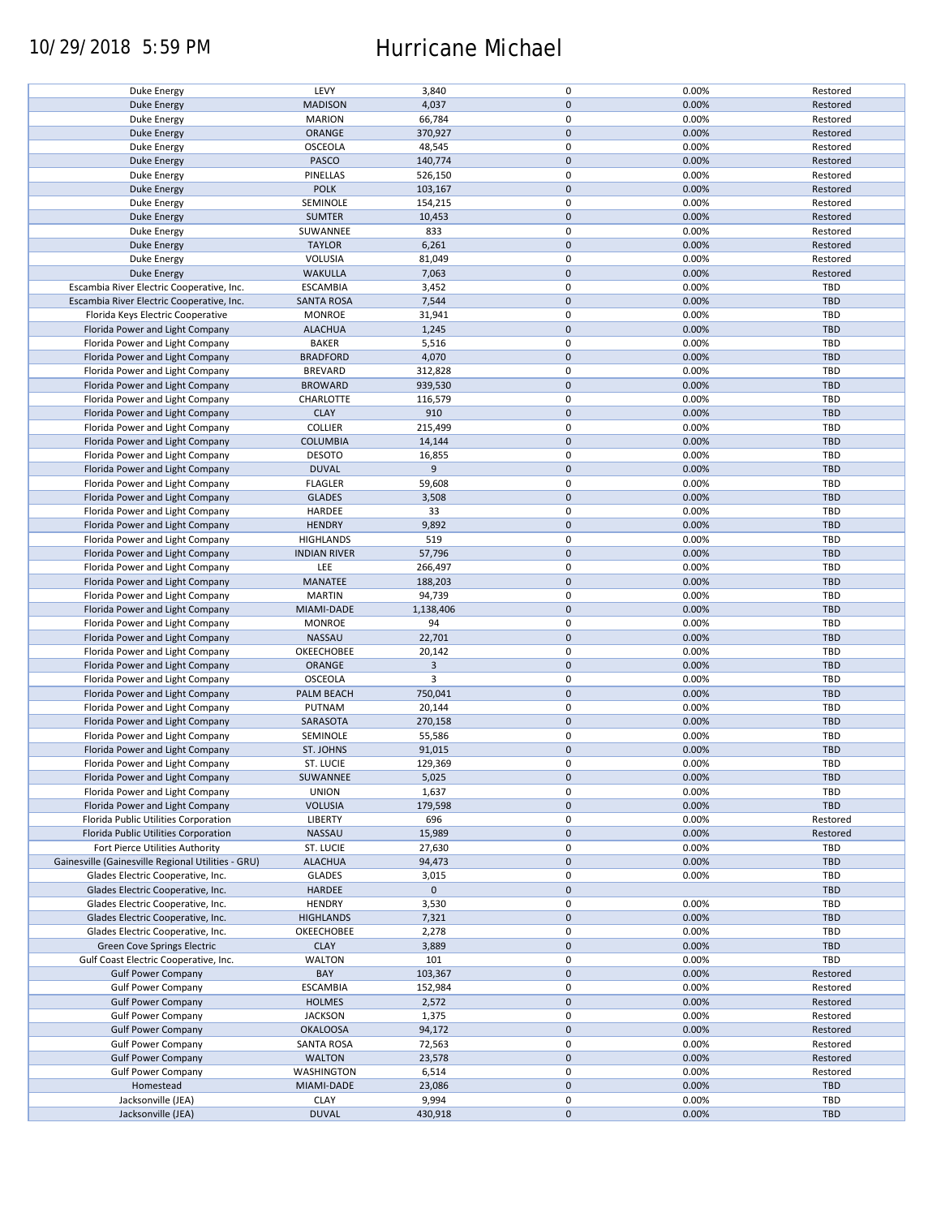## 10/29/2018 5:59 PM Hurricane Michael

| Duke Energy                                        | LEVY                | 3,840       | $\pmb{0}$           | 0.00% | Restored   |
|----------------------------------------------------|---------------------|-------------|---------------------|-------|------------|
| <b>Duke Energy</b>                                 | <b>MADISON</b>      | 4,037       | $\mathbf 0$         | 0.00% | Restored   |
|                                                    |                     |             |                     |       |            |
| Duke Energy                                        | <b>MARION</b>       | 66,784      | 0                   | 0.00% | Restored   |
| <b>Duke Energy</b>                                 | ORANGE              | 370,927     | $\mathbf 0$         | 0.00% | Restored   |
| Duke Energy                                        | <b>OSCEOLA</b>      | 48,545      | $\pmb{0}$           | 0.00% | Restored   |
|                                                    |                     |             | $\mathbf 0$         |       |            |
| <b>Duke Energy</b>                                 | PASCO               | 140,774     |                     | 0.00% | Restored   |
| Duke Energy                                        | PINELLAS            | 526,150     | $\pmb{0}$           | 0.00% | Restored   |
| <b>Duke Energy</b>                                 | <b>POLK</b>         | 103,167     | $\mathbf 0$         | 0.00% | Restored   |
|                                                    |                     |             |                     |       |            |
| Duke Energy                                        | SEMINOLE            | 154,215     | $\pmb{0}$           | 0.00% | Restored   |
| <b>Duke Energy</b>                                 | <b>SUMTER</b>       | 10,453      | $\mathbf 0$         | 0.00% | Restored   |
| Duke Energy                                        | SUWANNEE            | 833         | $\pmb{0}$           | 0.00% | Restored   |
|                                                    |                     |             |                     |       |            |
| <b>Duke Energy</b>                                 | <b>TAYLOR</b>       | 6,261       | $\mathbf 0$         | 0.00% | Restored   |
| Duke Energy                                        | <b>VOLUSIA</b>      | 81,049      | $\pmb{0}$           | 0.00% | Restored   |
| <b>Duke Energy</b>                                 | <b>WAKULLA</b>      | 7,063       | $\mathbf 0$         | 0.00% | Restored   |
|                                                    |                     |             |                     |       |            |
| Escambia River Electric Cooperative, Inc.          | <b>ESCAMBIA</b>     | 3,452       | 0                   | 0.00% | <b>TBD</b> |
| Escambia River Electric Cooperative, Inc.          | <b>SANTA ROSA</b>   | 7,544       | $\pmb{0}$           | 0.00% | <b>TBD</b> |
| Florida Keys Electric Cooperative                  | <b>MONROE</b>       | 31,941      | 0                   | 0.00% | TBD        |
|                                                    |                     |             |                     |       |            |
| Florida Power and Light Company                    | <b>ALACHUA</b>      | 1,245       | $\pmb{0}$           | 0.00% | <b>TBD</b> |
| Florida Power and Light Company                    | <b>BAKER</b>        | 5,516       | $\pmb{0}$           | 0.00% | <b>TBD</b> |
| Florida Power and Light Company                    | <b>BRADFORD</b>     | 4,070       | $\pmb{0}$           | 0.00% | <b>TBD</b> |
|                                                    |                     |             |                     |       |            |
| Florida Power and Light Company                    | <b>BREVARD</b>      | 312,828     | 0                   | 0.00% | <b>TBD</b> |
| Florida Power and Light Company                    | <b>BROWARD</b>      | 939,530     | $\pmb{0}$           | 0.00% | <b>TBD</b> |
|                                                    | CHARLOTTE           | 116,579     | 0                   | 0.00% | <b>TBD</b> |
| Florida Power and Light Company                    |                     |             |                     |       |            |
| Florida Power and Light Company                    | <b>CLAY</b>         | 910         | $\pmb{0}$           | 0.00% | <b>TBD</b> |
| Florida Power and Light Company                    | <b>COLLIER</b>      | 215,499     | $\pmb{0}$           | 0.00% | <b>TBD</b> |
|                                                    |                     |             |                     |       |            |
| Florida Power and Light Company                    | <b>COLUMBIA</b>     | 14,144      | $\pmb{0}$           | 0.00% | <b>TBD</b> |
| Florida Power and Light Company                    | <b>DESOTO</b>       | 16,855      | $\pmb{0}$           | 0.00% | <b>TBD</b> |
| Florida Power and Light Company                    | <b>DUVAL</b>        | 9           | $\mathsf{O}\xspace$ | 0.00% | <b>TBD</b> |
|                                                    |                     |             |                     |       |            |
| Florida Power and Light Company                    | <b>FLAGLER</b>      | 59,608      | $\pmb{0}$           | 0.00% | <b>TBD</b> |
| Florida Power and Light Company                    | <b>GLADES</b>       | 3,508       | $\mathsf{O}\xspace$ | 0.00% | <b>TBD</b> |
| Florida Power and Light Company                    | HARDEE              | 33          | $\pmb{0}$           | 0.00% | TBD        |
|                                                    |                     |             |                     |       |            |
| Florida Power and Light Company                    | <b>HENDRY</b>       | 9,892       | $\pmb{0}$           | 0.00% | <b>TBD</b> |
| Florida Power and Light Company                    | <b>HIGHLANDS</b>    | 519         | $\pmb{0}$           | 0.00% | <b>TBD</b> |
|                                                    |                     |             |                     |       |            |
| Florida Power and Light Company                    | <b>INDIAN RIVER</b> | 57,796      | $\mathbf 0$         | 0.00% | <b>TBD</b> |
| Florida Power and Light Company                    | LEE                 | 266,497     | 0                   | 0.00% | TBD        |
| Florida Power and Light Company                    | MANATEE             | 188,203     | $\pmb{0}$           | 0.00% | <b>TBD</b> |
|                                                    |                     |             |                     |       |            |
| Florida Power and Light Company                    | <b>MARTIN</b>       | 94,739      | 0                   | 0.00% | <b>TBD</b> |
| Florida Power and Light Company                    | MIAMI-DADE          | 1,138,406   | $\pmb{0}$           | 0.00% | <b>TBD</b> |
| Florida Power and Light Company                    | <b>MONROE</b>       | 94          | 0                   | 0.00% | <b>TBD</b> |
|                                                    |                     |             |                     |       |            |
| Florida Power and Light Company                    | <b>NASSAU</b>       | 22,701      | $\mathbf 0$         | 0.00% | <b>TBD</b> |
| Florida Power and Light Company                    | OKEECHOBEE          | 20,142      | 0                   | 0.00% | <b>TBD</b> |
|                                                    |                     | 3           | $\mathbf 0$         | 0.00% | <b>TBD</b> |
| Florida Power and Light Company                    | <b>ORANGE</b>       |             |                     |       |            |
| Florida Power and Light Company                    | <b>OSCEOLA</b>      | 3           | $\pmb{0}$           | 0.00% | <b>TBD</b> |
| Florida Power and Light Company                    | PALM BEACH          | 750,041     | $\mathbf 0$         | 0.00% | <b>TBD</b> |
|                                                    |                     |             |                     |       |            |
| Florida Power and Light Company                    | PUTNAM              | 20,144      | $\pmb{0}$           | 0.00% | TBD        |
| Florida Power and Light Company                    | SARASOTA            | 270,158     | $\mathbf 0$         | 0.00% | <b>TBD</b> |
| Florida Power and Light Company                    | SEMINOLE            | 55,586      | $\pmb{0}$           | 0.00% | <b>TBD</b> |
|                                                    |                     |             |                     |       |            |
| Florida Power and Light Company                    | <b>ST. JOHNS</b>    | 91,015      | $\pmb{0}$           | 0.00% | <b>TBD</b> |
| Florida Power and Light Company                    | ST. LUCIE           | 129,369     | $\mathbf 0$         | 0.00% | TBD        |
|                                                    | SUWANNEE            |             | $\pmb{0}$           |       | <b>TBD</b> |
| Florida Power and Light Company                    |                     | 5,025       |                     | 0.00% |            |
| Florida Power and Light Company                    | <b>UNION</b>        | 1,637       | 0                   | 0.00% | <b>TBD</b> |
| Florida Power and Light Company                    | <b>VOLUSIA</b>      | 179,598     | $\mathbf 0$         | 0.00% | <b>TBD</b> |
|                                                    |                     |             |                     |       |            |
| Florida Public Utilities Corporation               | LIBERTY             | 696         | 0                   | 0.00% | Restored   |
| Florida Public Utilities Corporation               | NASSAU              | 15,989      | $\mathsf{O}\xspace$ | 0.00% | Restored   |
| Fort Pierce Utilities Authority                    | ST. LUCIE           | 27,630      | 0                   | 0.00% | <b>TBD</b> |
|                                                    |                     |             |                     |       |            |
| Gainesville (Gainesville Regional Utilities - GRU) | <b>ALACHUA</b>      | 94,473      | $\mathsf{O}\xspace$ | 0.00% | <b>TBD</b> |
| Glades Electric Cooperative, Inc.                  | <b>GLADES</b>       | 3,015       | 0                   | 0.00% | <b>TBD</b> |
| Glades Electric Cooperative, Inc.                  | HARDEE              | $\mathbf 0$ | $\mathsf{O}\xspace$ |       | <b>TBD</b> |
|                                                    |                     |             |                     |       |            |
| Glades Electric Cooperative, Inc.                  | <b>HENDRY</b>       | 3,530       | $\pmb{0}$           | 0.00% | <b>TBD</b> |
| Glades Electric Cooperative, Inc.                  | <b>HIGHLANDS</b>    | 7,321       | $\pmb{0}$           | 0.00% | <b>TBD</b> |
|                                                    | OKEECHOBEE          |             | 0                   | 0.00% |            |
| Glades Electric Cooperative, Inc.                  |                     | 2,278       |                     |       | <b>TBD</b> |
| Green Cove Springs Electric                        | <b>CLAY</b>         | 3,889       | $\mathsf{O}\xspace$ | 0.00% | <b>TBD</b> |
| Gulf Coast Electric Cooperative, Inc.              | <b>WALTON</b>       | 101         | 0                   | 0.00% | TBD        |
|                                                    |                     |             |                     |       |            |
| <b>Gulf Power Company</b>                          | BAY                 | 103,367     | $\pmb{0}$           | 0.00% | Restored   |
| <b>Gulf Power Company</b>                          | <b>ESCAMBIA</b>     | 152,984     | 0                   | 0.00% | Restored   |
| <b>Gulf Power Company</b>                          | <b>HOLMES</b>       | 2,572       | $\pmb{0}$           | 0.00% | Restored   |
|                                                    |                     |             |                     |       |            |
| <b>Gulf Power Company</b>                          | <b>JACKSON</b>      | 1,375       | 0                   | 0.00% | Restored   |
| <b>Gulf Power Company</b>                          | <b>OKALOOSA</b>     | 94,172      | $\pmb{0}$           | 0.00% | Restored   |
|                                                    |                     |             | $\pmb{0}$           | 0.00% | Restored   |
| <b>Gulf Power Company</b>                          | <b>SANTA ROSA</b>   | 72,563      |                     |       |            |
| <b>Gulf Power Company</b>                          | <b>WALTON</b>       | 23,578      | $\pmb{0}$           | 0.00% | Restored   |
| <b>Gulf Power Company</b>                          | <b>WASHINGTON</b>   | 6,514       | $\mathbf 0$         | 0.00% | Restored   |
|                                                    |                     |             |                     |       |            |
| Homestead                                          | MIAMI-DADE          | 23,086      | $\pmb{0}$           | 0.00% | <b>TBD</b> |
| Jacksonville (JEA)                                 | <b>CLAY</b>         | 9,994       | 0                   | 0.00% | <b>TBD</b> |
| Jacksonville (JEA)                                 | <b>DUVAL</b>        | 430,918     | $\pmb{0}$           | 0.00% | <b>TBD</b> |
|                                                    |                     |             |                     |       |            |